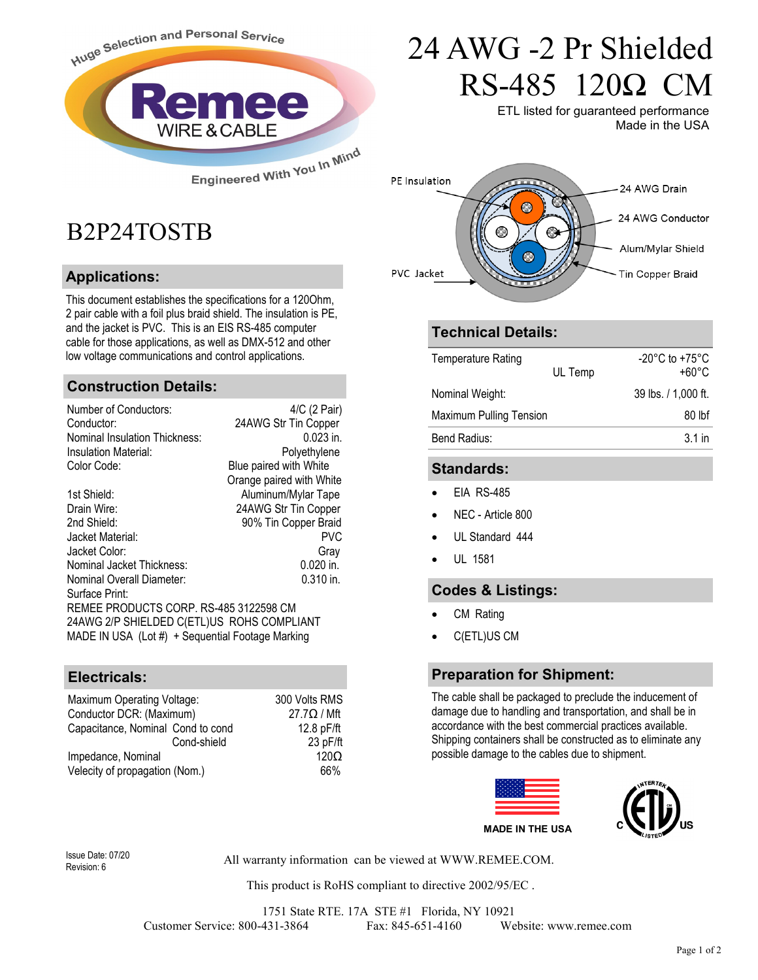

## B2P24TOSTB

#### **Applications:**

This document establishes the specifications for a 120Ohm, 2 pair cable with a foil plus braid shield. The insulation is PE, and the jacket is PVC. This is an EIS RS-485 computer cable for those applications, as well as DMX-512 and other low voltage communications and control applications.

#### **Construction Details:**

| Number of Conductors:                            | 4/C (2 Pair)             |  |  |
|--------------------------------------------------|--------------------------|--|--|
| Conductor:                                       | 24AWG Str Tin Copper     |  |  |
| Nominal Insulation Thickness:                    | $0.023$ in.              |  |  |
| Insulation Material:                             | Polyethylene             |  |  |
| Color Code:                                      | Blue paired with White   |  |  |
|                                                  | Orange paired with White |  |  |
| 1st Shield:                                      | Aluminum/Mylar Tape      |  |  |
| Drain Wire:                                      | 24AWG Str Tin Copper     |  |  |
| 2nd Shield:                                      | 90% Tin Copper Braid     |  |  |
| Jacket Material:                                 | <b>PVC</b>               |  |  |
| Jacket Color:                                    | Gray                     |  |  |
| Nominal Jacket Thickness:                        | $0.020$ in.              |  |  |
| Nominal Overall Diameter:                        | $0.310$ in.              |  |  |
| Surface Print:                                   |                          |  |  |
| REMEE PRODUCTS CORP. RS-485 3122598 CM           |                          |  |  |
| 24AWG 2/P SHIELDED C(ETL)US ROHS COMPLIANT       |                          |  |  |
| MADE IN USA (Lot #) + Sequential Footage Marking |                          |  |  |

#### **Electricals:**

| Maximum Operating Voltage:        | 300 Volts RMS      |
|-----------------------------------|--------------------|
| Conductor DCR: (Maximum)          | $27.7\Omega / Mft$ |
| Capacitance, Nominal Cond to cond | 12.8 pF/ft         |
| Cond-shield                       | 23 pF/ft           |
| Impedance, Nominal                | 120 <sub>O</sub>   |
| Velecity of propagation (Nom.)    | 66%                |

# 24 AWG -2 Pr Shielded RS-485 120Ω CM

ETL listed for guaranteed performance Made in the USA



#### **Technical Details:**

| <b>Temperature Rating</b> | UL Temp | $-20^{\circ}$ C to $+75^{\circ}$ C<br>+60°C |
|---------------------------|---------|---------------------------------------------|
| Nominal Weight:           |         | 39 lbs. / 1,000 ft.                         |
| Maximum Pulling Tension   |         | 80 lbf                                      |
| Bend Radius:              |         | $3.1$ in                                    |
|                           |         |                                             |

#### **Standards:**

- EIA RS-485
- NEC Article 800
- UL Standard 444
- UL 1581

#### **Codes & Listings:**

- CM Rating
- C(ETL)US CM

#### **Preparation for Shipment:**

The cable shall be packaged to preclude the inducement of damage due to handling and transportation, and shall be in accordance with the best commercial practices available. Shipping containers shall be constructed as to eliminate any possible damage to the cables due to shipment.



Revision: 6

All warranty information can be viewed at WWW.REMEE.COM. Issue Date: 07/20

This product is RoHS compliant to directive 2002/95/EC .

1751 State RTE. 17A STE #1 Florida, NY 10921 Customer Service: 800-431-3864 Fax: 845-651-4160 Website: www.remee.com